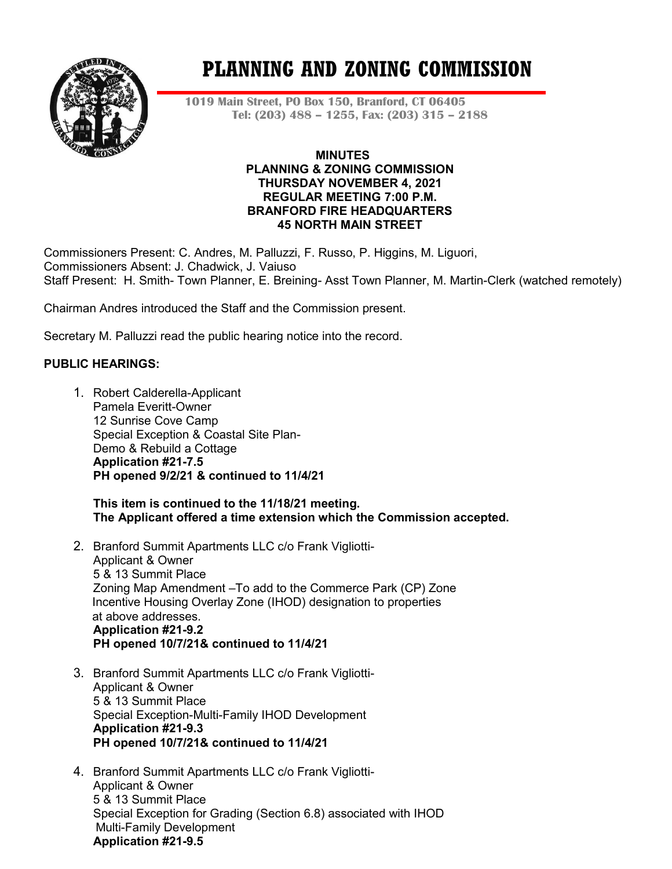

# **PLANNING AND ZONING COMMISSION**

**1019 Main Street, PO Box 150, Branford, CT 06405 Tel: (203) 488 – 1255, Fax: (203) 315 – 2188**

### **MINUTES PLANNING & ZONING COMMISSION THURSDAY NOVEMBER 4, 2021 REGULAR MEETING 7:00 P.M. BRANFORD FIRE HEADQUARTERS 45 NORTH MAIN STREET**

Commissioners Present: C. Andres, M. Palluzzi, F. Russo, P. Higgins, M. Liguori, Commissioners Absent: J. Chadwick, J. Vaiuso Staff Present: H. Smith- Town Planner, E. Breining- Asst Town Planner, M. Martin-Clerk (watched remotely)

Chairman Andres introduced the Staff and the Commission present.

Secretary M. Palluzzi read the public hearing notice into the record.

# **PUBLIC HEARINGS:**

1. Robert Calderella-Applicant Pamela Everitt-Owner 12 Sunrise Cove Camp Special Exception & Coastal Site Plan-Demo & Rebuild a Cottage **Application #21-7.5 PH opened 9/2/21 & continued to 11/4/21**

**This item is continued to the 11/18/21 meeting. The Applicant offered a time extension which the Commission accepted.**

- 2. Branford Summit Apartments LLC c/o Frank Vigliotti-Applicant & Owner 5 & 13 Summit Place Zoning Map Amendment –To add to the Commerce Park (CP) Zone Incentive Housing Overlay Zone (IHOD) designation to properties at above addresses. **Application #21-9.2 PH opened 10/7/21& continued to 11/4/21**
- 3. Branford Summit Apartments LLC c/o Frank Vigliotti-Applicant & Owner 5 & 13 Summit Place Special Exception-Multi-Family IHOD Development **Application #21-9.3 PH opened 10/7/21& continued to 11/4/21**
- 4. Branford Summit Apartments LLC c/o Frank Vigliotti-Applicant & Owner 5 & 13 Summit Place Special Exception for Grading (Section 6.8) associated with IHOD Multi-Family Development **Application #21-9.5**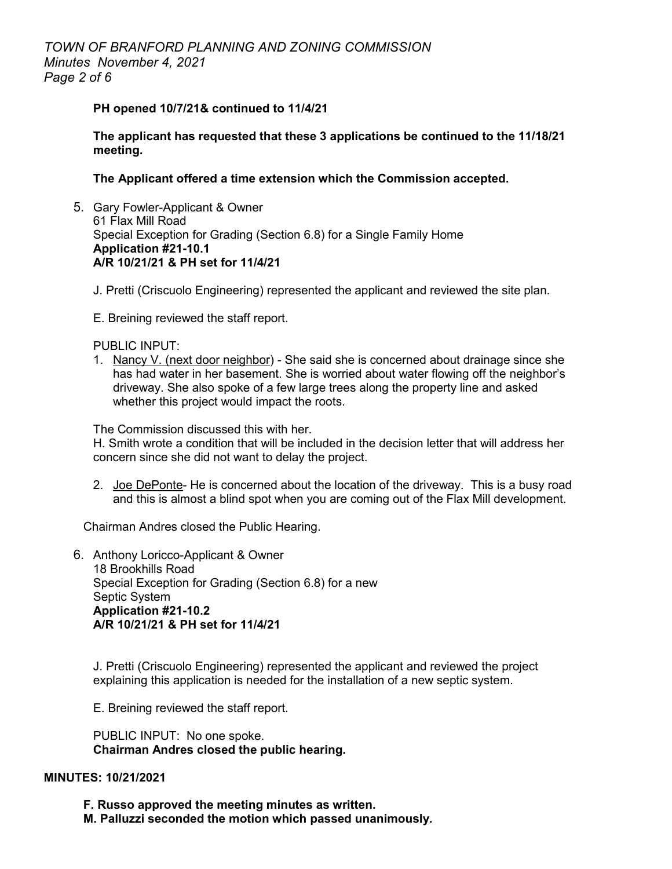# *TOWN OF BRANFORD PLANNING AND ZONING COMMISSION Minutes November 4, 2021 Page 2 of 6*

#### **PH opened 10/7/21& continued to 11/4/21**

**The applicant has requested that these 3 applications be continued to the 11/18/21 meeting.** 

**The Applicant offered a time extension which the Commission accepted.** 

- 5. Gary Fowler-Applicant & Owner 61 Flax Mill Road Special Exception for Grading (Section 6.8) for a Single Family Home **Application #21-10.1 A/R 10/21/21 & PH set for 11/4/21**
	- J. Pretti (Criscuolo Engineering) represented the applicant and reviewed the site plan.
	- E. Breining reviewed the staff report.

#### PUBLIC INPUT:

1. Nancy V. (next door neighbor) - She said she is concerned about drainage since she has had water in her basement. She is worried about water flowing off the neighbor's driveway. She also spoke of a few large trees along the property line and asked whether this project would impact the roots.

The Commission discussed this with her.

H. Smith wrote a condition that will be included in the decision letter that will address her concern since she did not want to delay the project.

2. Joe DePonte- He is concerned about the location of the driveway. This is a busy road and this is almost a blind spot when you are coming out of the Flax Mill development.

Chairman Andres closed the Public Hearing.

6. Anthony Loricco-Applicant & Owner 18 Brookhills Road Special Exception for Grading (Section 6.8) for a new Septic System **Application #21-10.2 A/R 10/21/21 & PH set for 11/4/21**

J. Pretti (Criscuolo Engineering) represented the applicant and reviewed the project explaining this application is needed for the installation of a new septic system.

E. Breining reviewed the staff report.

PUBLIC INPUT: No one spoke. **Chairman Andres closed the public hearing.**

#### **MINUTES: 10/21/2021**

**F. Russo approved the meeting minutes as written.**

**M. Palluzzi seconded the motion which passed unanimously.**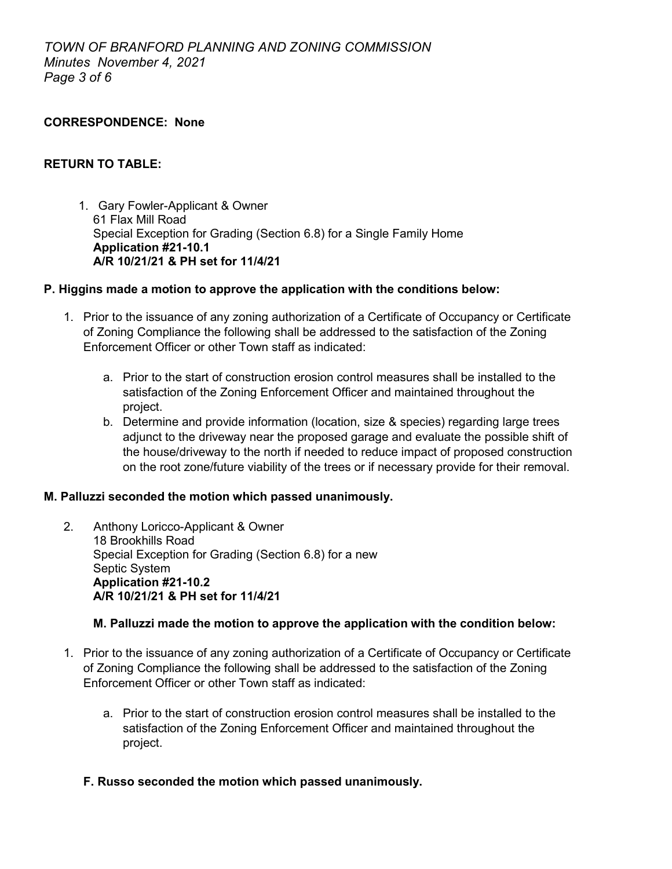#### **CORRESPONDENCE: None**

## **RETURN TO TABLE:**

1. Gary Fowler-Applicant & Owner 61 Flax Mill Road Special Exception for Grading (Section 6.8) for a Single Family Home **Application #21-10.1 A/R 10/21/21 & PH set for 11/4/21**

#### **P. Higgins made a motion to approve the application with the conditions below:**

- 1. Prior to the issuance of any zoning authorization of a Certificate of Occupancy or Certificate of Zoning Compliance the following shall be addressed to the satisfaction of the Zoning Enforcement Officer or other Town staff as indicated:
	- a. Prior to the start of construction erosion control measures shall be installed to the satisfaction of the Zoning Enforcement Officer and maintained throughout the project.
	- b. Determine and provide information (location, size & species) regarding large trees adjunct to the driveway near the proposed garage and evaluate the possible shift of the house/driveway to the north if needed to reduce impact of proposed construction on the root zone/future viability of the trees or if necessary provide for their removal.

# **M. Palluzzi seconded the motion which passed unanimously.**

2. Anthony Loricco-Applicant & Owner 18 Brookhills Road Special Exception for Grading (Section 6.8) for a new Septic System **Application #21-10.2 A/R 10/21/21 & PH set for 11/4/21**

# **M. Palluzzi made the motion to approve the application with the condition below:**

- 1. Prior to the issuance of any zoning authorization of a Certificate of Occupancy or Certificate of Zoning Compliance the following shall be addressed to the satisfaction of the Zoning Enforcement Officer or other Town staff as indicated:
	- a. Prior to the start of construction erosion control measures shall be installed to the satisfaction of the Zoning Enforcement Officer and maintained throughout the project.
	- **F. Russo seconded the motion which passed unanimously.**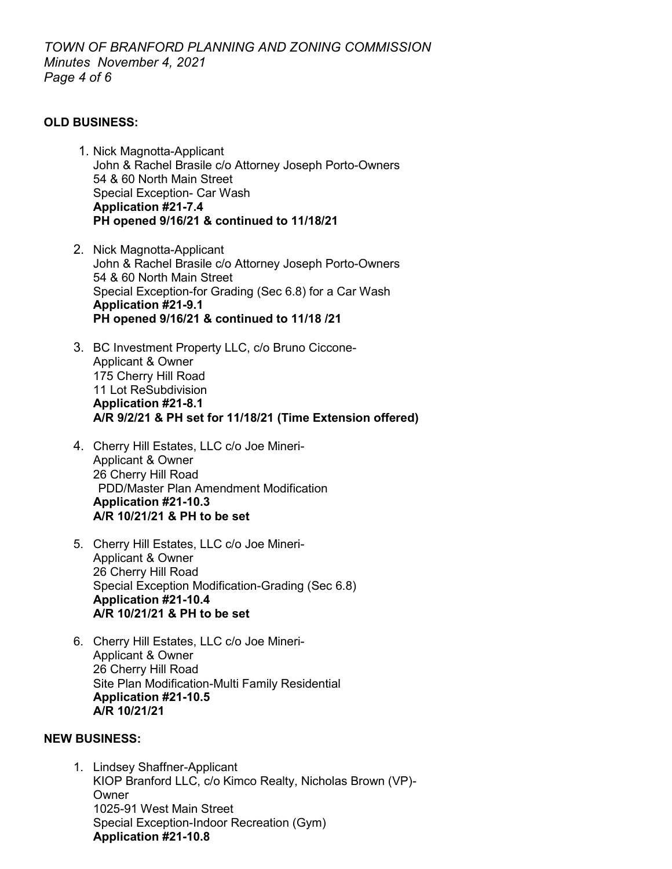# **OLD BUSINESS:**

- 1. Nick Magnotta-Applicant John & Rachel Brasile c/o Attorney Joseph Porto-Owners 54 & 60 North Main Street Special Exception- Car Wash **Application #21-7.4 PH opened 9/16/21 & continued to 11/18/21**
- 2. Nick Magnotta-Applicant John & Rachel Brasile c/o Attorney Joseph Porto-Owners 54 & 60 North Main Street Special Exception-for Grading (Sec 6.8) for a Car Wash **Application #21-9.1 PH opened 9/16/21 & continued to 11/18 /21**
- 3. BC Investment Property LLC, c/o Bruno Ciccone-Applicant & Owner 175 Cherry Hill Road 11 Lot ReSubdivision **Application #21-8.1 A/R 9/2/21 & PH set for 11/18/21 (Time Extension offered)**
- 4. Cherry Hill Estates, LLC c/o Joe Mineri-Applicant & Owner 26 Cherry Hill Road PDD/Master Plan Amendment Modification **Application #21-10.3 A/R 10/21/21 & PH to be set**
- 5. Cherry Hill Estates, LLC c/o Joe Mineri-Applicant & Owner 26 Cherry Hill Road Special Exception Modification-Grading (Sec 6.8) **Application #21-10.4 A/R 10/21/21 & PH to be set**
- 6. Cherry Hill Estates, LLC c/o Joe Mineri-Applicant & Owner 26 Cherry Hill Road Site Plan Modification-Multi Family Residential **Application #21-10.5 A/R 10/21/21**

# **NEW BUSINESS:**

1. Lindsey Shaffner-Applicant KIOP Branford LLC, c/o Kimco Realty, Nicholas Brown (VP)- Owner 1025-91 West Main Street Special Exception-Indoor Recreation (Gym) **Application #21-10.8**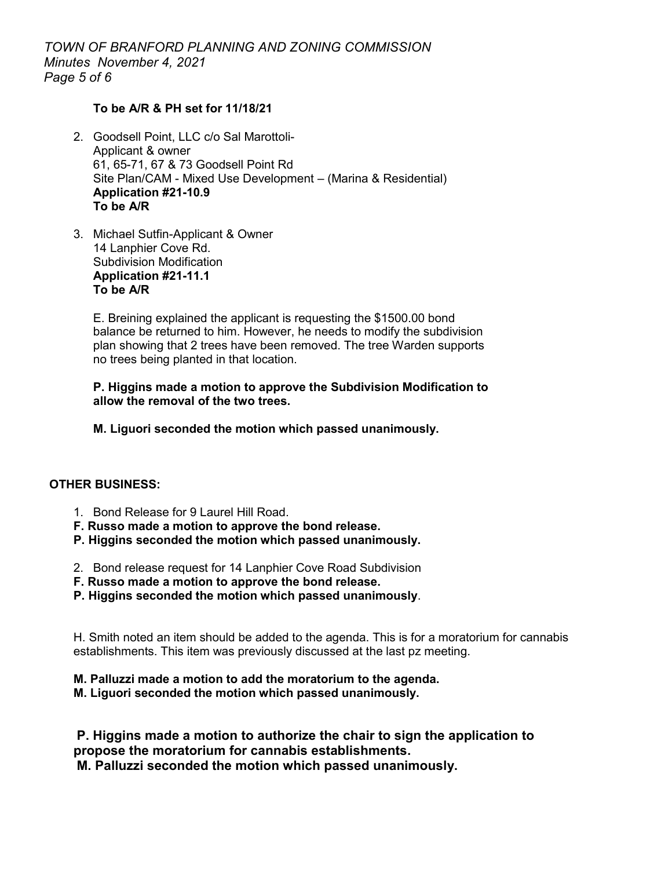*TOWN OF BRANFORD PLANNING AND ZONING COMMISSION Minutes November 4, 2021 Page 5 of 6*

# **To be A/R & PH set for 11/18/21**

- 2. Goodsell Point, LLC c/o Sal Marottoli-Applicant & owner 61, 65-71, 67 & 73 Goodsell Point Rd Site Plan/CAM - Mixed Use Development – (Marina & Residential) **Application #21-10.9 To be A/R**
- 3. Michael Sutfin-Applicant & Owner 14 Lanphier Cove Rd. Subdivision Modification **Application #21-11.1 To be A/R**

E. Breining explained the applicant is requesting the \$1500.00 bond balance be returned to him. However, he needs to modify the subdivision plan showing that 2 trees have been removed. The tree Warden supports no trees being planted in that location.

**P. Higgins made a motion to approve the Subdivision Modification to allow the removal of the two trees.**

**M. Liguori seconded the motion which passed unanimously.** 

#### **OTHER BUSINESS:**

- 1. Bond Release for 9 Laurel Hill Road.
- **F. Russo made a motion to approve the bond release.**
- **P. Higgins seconded the motion which passed unanimously.**
- 2. Bond release request for 14 Lanphier Cove Road Subdivision
- **F. Russo made a motion to approve the bond release.**
- **P. Higgins seconded the motion which passed unanimously**.

H. Smith noted an item should be added to the agenda. This is for a moratorium for cannabis establishments. This item was previously discussed at the last pz meeting.

#### **M. Palluzzi made a motion to add the moratorium to the agenda.**

**M. Liguori seconded the motion which passed unanimously.** 

**P. Higgins made a motion to authorize the chair to sign the application to propose the moratorium for cannabis establishments.** 

**M. Palluzzi seconded the motion which passed unanimously.**